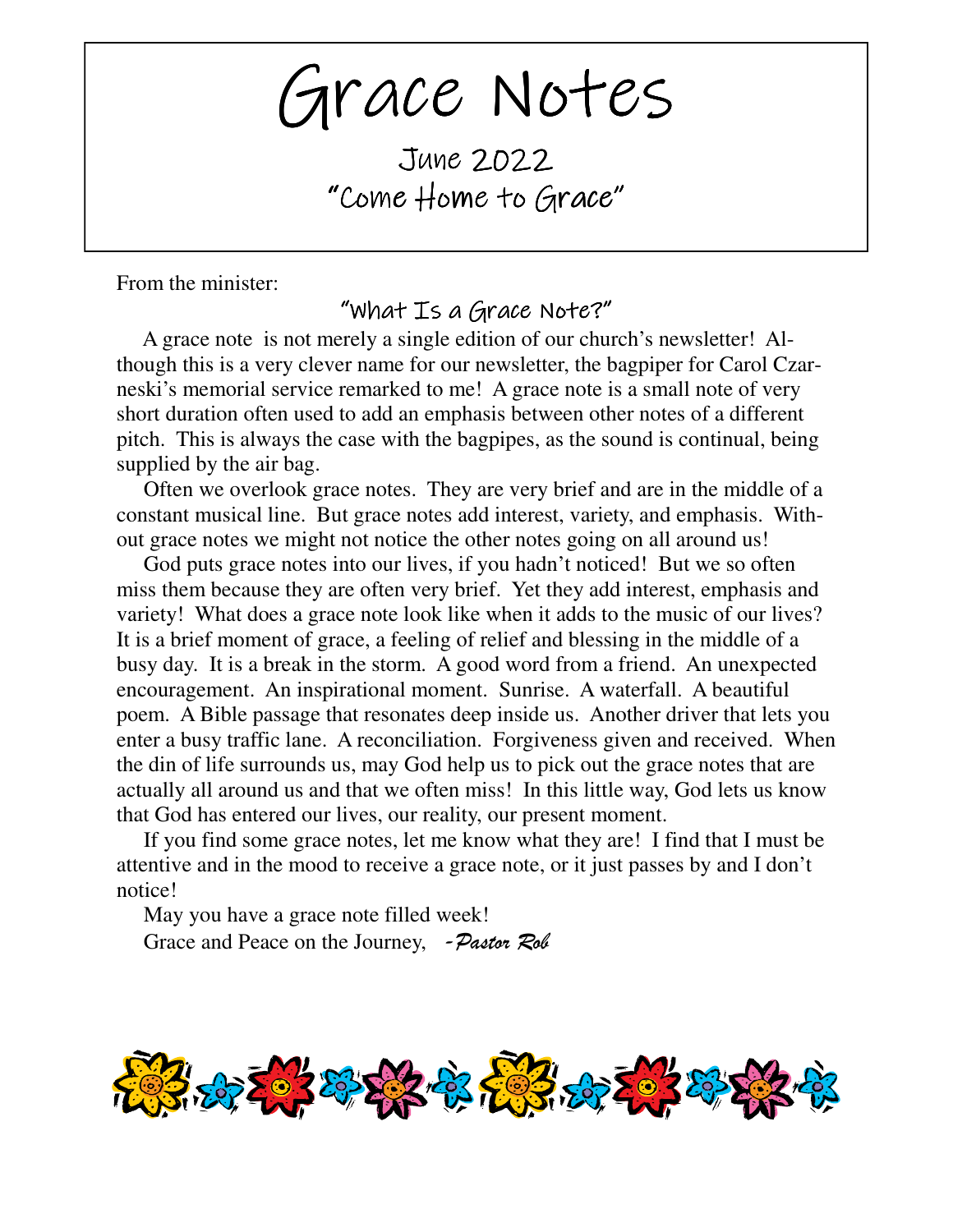Grace Notes

June 2022 "Come Home to Grace"

From the minister:

### "What Is a Grace Note?"

 A grace note is not merely a single edition of our church's newsletter! Although this is a very clever name for our newsletter, the bagpiper for Carol Czarneski's memorial service remarked to me! A grace note is a small note of very short duration often used to add an emphasis between other notes of a different pitch. This is always the case with the bagpipes, as the sound is continual, being supplied by the air bag.

 Often we overlook grace notes. They are very brief and are in the middle of a constant musical line. But grace notes add interest, variety, and emphasis. Without grace notes we might not notice the other notes going on all around us!

God puts grace notes into our lives, if you hadn't noticed! But we so often miss them because they are often very brief. Yet they add interest, emphasis and variety! What does a grace note look like when it adds to the music of our lives? It is a brief moment of grace, a feeling of relief and blessing in the middle of a busy day. It is a break in the storm. A good word from a friend. An unexpected encouragement. An inspirational moment. Sunrise. A waterfall. A beautiful poem. A Bible passage that resonates deep inside us. Another driver that lets you enter a busy traffic lane. A reconciliation. Forgiveness given and received. When the din of life surrounds us, may God help us to pick out the grace notes that are actually all around us and that we often miss! In this little way, God lets us know that God has entered our lives, our reality, our present moment.

 If you find some grace notes, let me know what they are! I find that I must be attentive and in the mood to receive a grace note, or it just passes by and I don't notice!

May you have a grace note filled week!

Grace and Peace on the Journey, *-Pastor Rob*

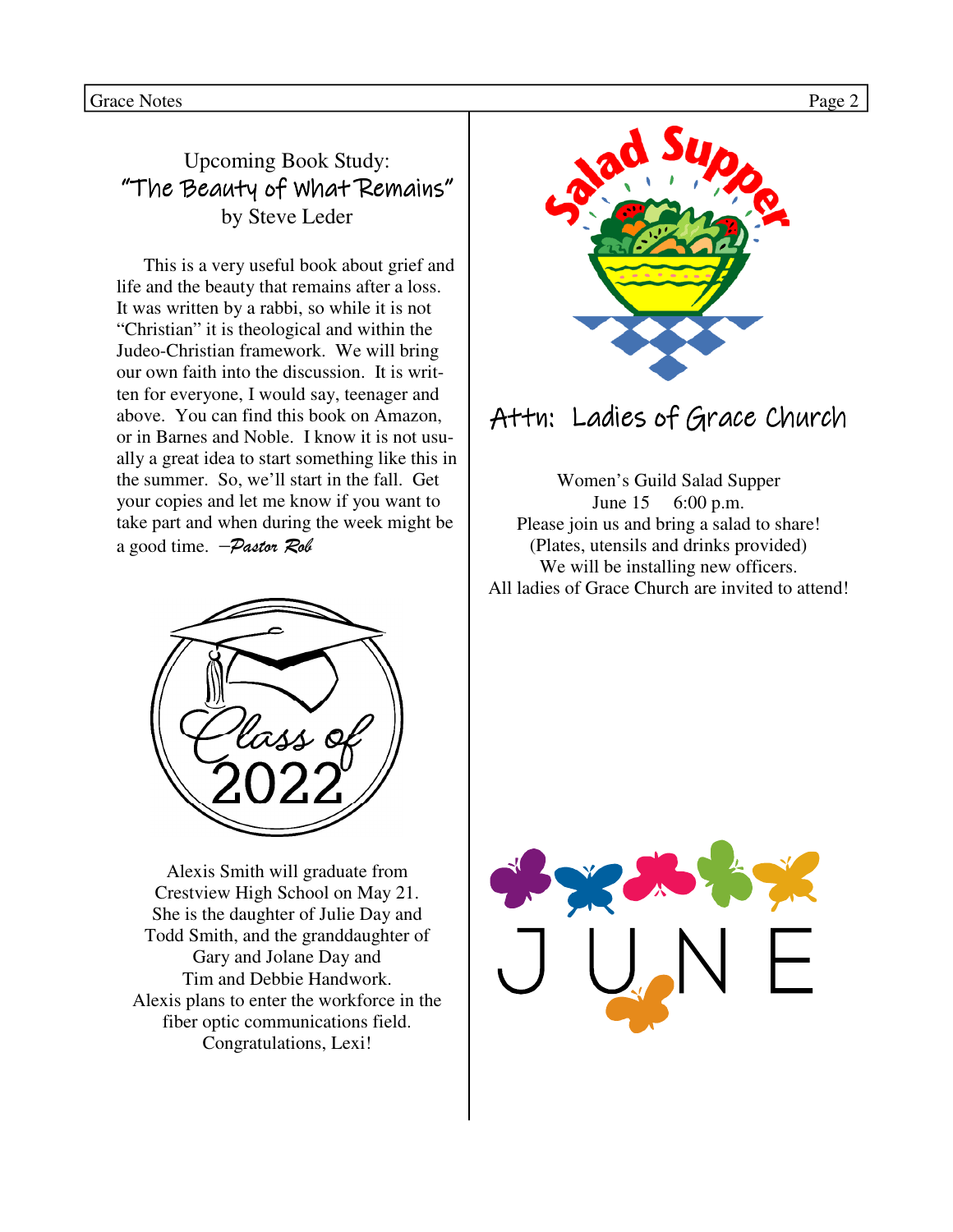## Upcoming Book Study: "The Beauty of What Remains" by Steve Leder

 This is a very useful book about grief and life and the beauty that remains after a loss. It was written by a rabbi, so while it is not "Christian" it is theological and within the Judeo-Christian framework. We will bring our own faith into the discussion. It is written for everyone, I would say, teenager and above. You can find this book on Amazon, or in Barnes and Noble. I know it is not usually a great idea to start something like this in the summer. So, we'll start in the fall. Get your copies and let me know if you want to take part and when during the week might be a good time. *–Pastor Rob*



Alexis Smith will graduate from Crestview High School on May 21. She is the daughter of Julie Day and Todd Smith, and the granddaughter of Gary and Jolane Day and Tim and Debbie Handwork. Alexis plans to enter the workforce in the fiber optic communications field. Congratulations, Lexi!



# Attn: Ladies of Grace Church

Women's Guild Salad Supper June 15 6:00 p.m. Please join us and bring a salad to share! (Plates, utensils and drinks provided) We will be installing new officers. All ladies of Grace Church are invited to attend!

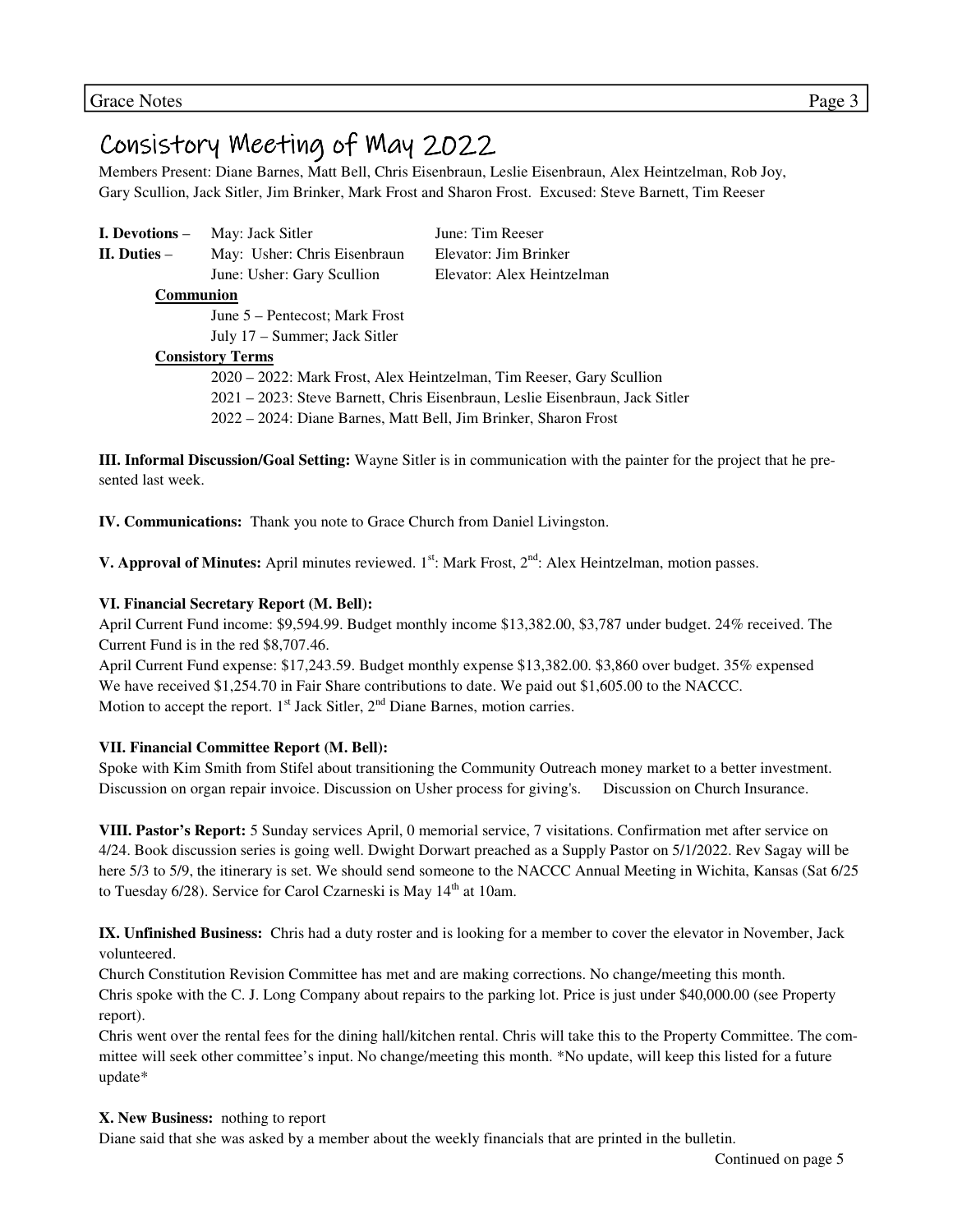# Consistory Meeting of May 2022

Members Present: Diane Barnes, Matt Bell, Chris Eisenbraun, Leslie Eisenbraun, Alex Heintzelman, Rob Joy, Gary Scullion, Jack Sitler, Jim Brinker, Mark Frost and Sharon Frost. Excused: Steve Barnett, Tim Reeser

| I. Devotions –          | May: Jack Sitler                                                             | June: Tim Reeser           |
|-------------------------|------------------------------------------------------------------------------|----------------------------|
| II. Duties $-$          | May: Usher: Chris Eisenbraun                                                 | Elevator: Jim Brinker      |
|                         | June: Usher: Gary Scullion                                                   | Elevator: Alex Heintzelman |
| <b>Communion</b>        |                                                                              |                            |
|                         | June 5 – Pentecost: Mark Frost                                               |                            |
|                         | July 17 – Summer; Jack Sitler                                                |                            |
| <b>Consistory Terms</b> |                                                                              |                            |
|                         | 2020 – 2022: Mark Frost, Alex Heintzelman, Tim Reeser, Gary Scullion         |                            |
|                         | 2021 – 2023: Steve Barnett, Chris Eisenbraun, Leslie Eisenbraun, Jack Sitler |                            |
|                         | 2022 – 2024: Diane Barnes, Matt Bell, Jim Brinker, Sharon Frost              |                            |

**III. Informal Discussion/Goal Setting:** Wayne Sitler is in communication with the painter for the project that he presented last week.

**IV. Communications:** Thank you note to Grace Church from Daniel Livingston.

**V. Approval of Minutes:** April minutes reviewed. 1<sup>st</sup>: Mark Frost, 2<sup>nd</sup>: Alex Heintzelman, motion passes.

#### **VI. Financial Secretary Report (M. Bell):**

April Current Fund income: \$9,594.99. Budget monthly income \$13,382.00, \$3,787 under budget. 24% received. The Current Fund is in the red \$8,707.46.

April Current Fund expense: \$17,243.59. Budget monthly expense \$13,382.00. \$3,860 over budget. 35% expensed We have received \$1,254.70 in Fair Share contributions to date. We paid out \$1,605.00 to the NACCC. Motion to accept the report.  $1<sup>st</sup>$  Jack Sitler,  $2<sup>nd</sup>$  Diane Barnes, motion carries.

#### **VII. Financial Committee Report (M. Bell):**

Spoke with Kim Smith from Stifel about transitioning the Community Outreach money market to a better investment. Discussion on organ repair invoice. Discussion on Usher process for giving's. Discussion on Church Insurance.

**VIII. Pastor's Report:** 5 Sunday services April, 0 memorial service, 7 visitations. Confirmation met after service on 4/24. Book discussion series is going well. Dwight Dorwart preached as a Supply Pastor on 5/1/2022. Rev Sagay will be here 5/3 to 5/9, the itinerary is set. We should send someone to the NACCC Annual Meeting in Wichita, Kansas (Sat 6/25 to Tuesday 6/28). Service for Carol Czarneski is May 14<sup>th</sup> at 10am.

**IX. Unfinished Business:** Chris had a duty roster and is looking for a member to cover the elevator in November, Jack volunteered.

Church Constitution Revision Committee has met and are making corrections. No change/meeting this month. Chris spoke with the C. J. Long Company about repairs to the parking lot. Price is just under \$40,000.00 (see Property report).

Chris went over the rental fees for the dining hall/kitchen rental. Chris will take this to the Property Committee. The committee will seek other committee's input. No change/meeting this month. \*No update, will keep this listed for a future update\*

#### **X. New Business:** nothing to report

Diane said that she was asked by a member about the weekly financials that are printed in the bulletin.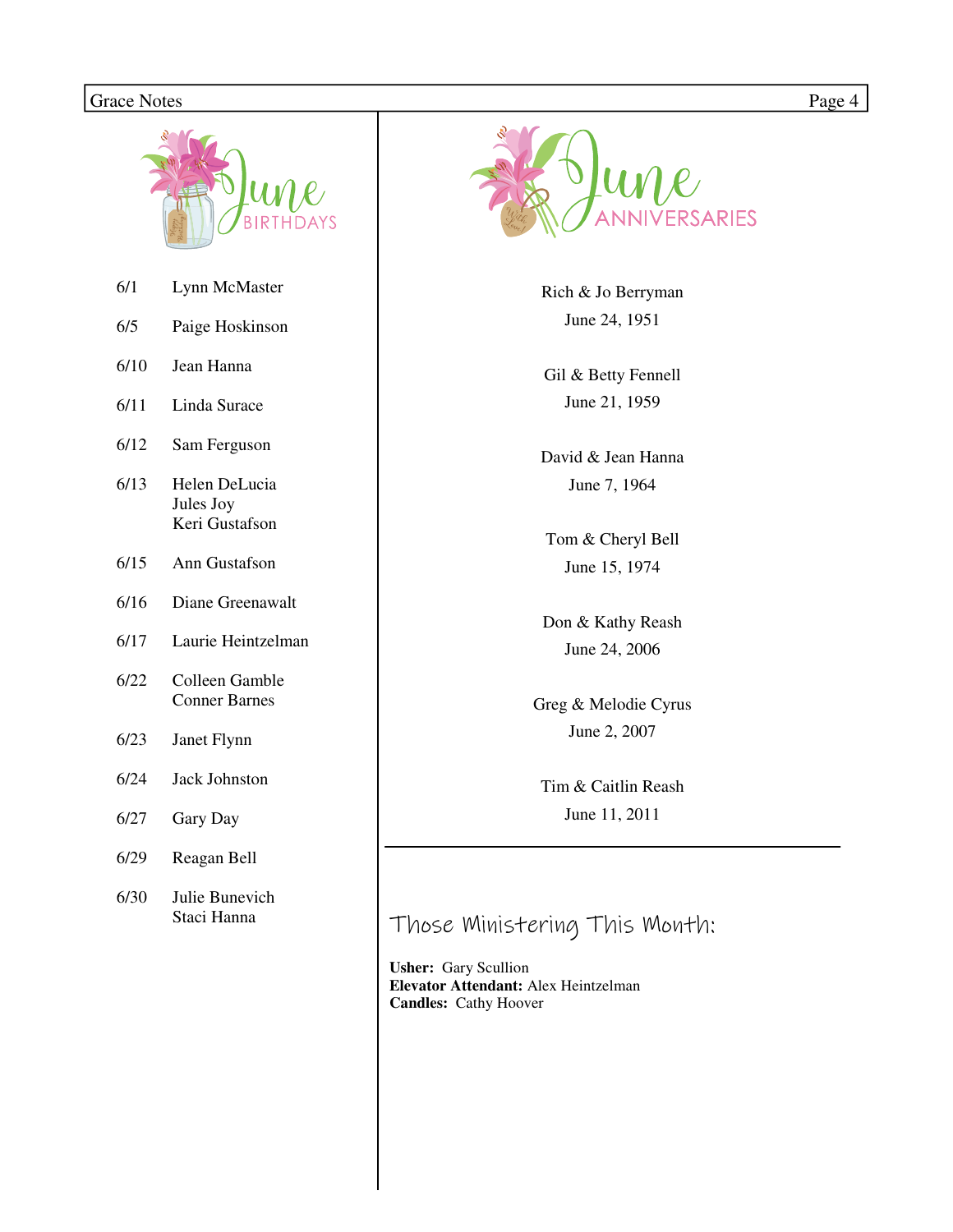### Grace Notes Page 4



| 6/1  | Lynn McMaster                                |  |
|------|----------------------------------------------|--|
| 6/5  | Paige Hoskinson                              |  |
| 6/10 | Jean Hanna                                   |  |
| 6/11 | Linda Surace                                 |  |
| 6/12 | Sam Ferguson                                 |  |
| 6/13 | Helen DeLucia<br>Jules Joy<br>Keri Gustafson |  |
| 6/15 | Ann Gustafson                                |  |
| 6/16 | Diane Greenawalt                             |  |
| 6/17 | Laurie Heintzelman                           |  |
| 6/22 | Colleen Gamble<br><b>Conner Barnes</b>       |  |
| 6/23 | Janet Flynn                                  |  |

- 6/24 Jack Johnston
- 6/27 Gary Day
- 6/29 Reagan Bell
- 6/30 Julie Bunevich Staci Hanna



Rich & Jo Berryman June 24, 1951

Gil & Betty Fennell June 21, 1959

David & Jean Hanna June 7, 1964

Tom & Cheryl Bell June 15, 1974

Don & Kathy Reash June 24, 2006

Greg & Melodie Cyrus June 2, 2007

Tim & Caitlin Reash June 11, 2011

## Those Ministering This Month:

**Usher:** Gary Scullion **Elevator Attendant:** Alex Heintzelman **Candles:** Cathy Hoover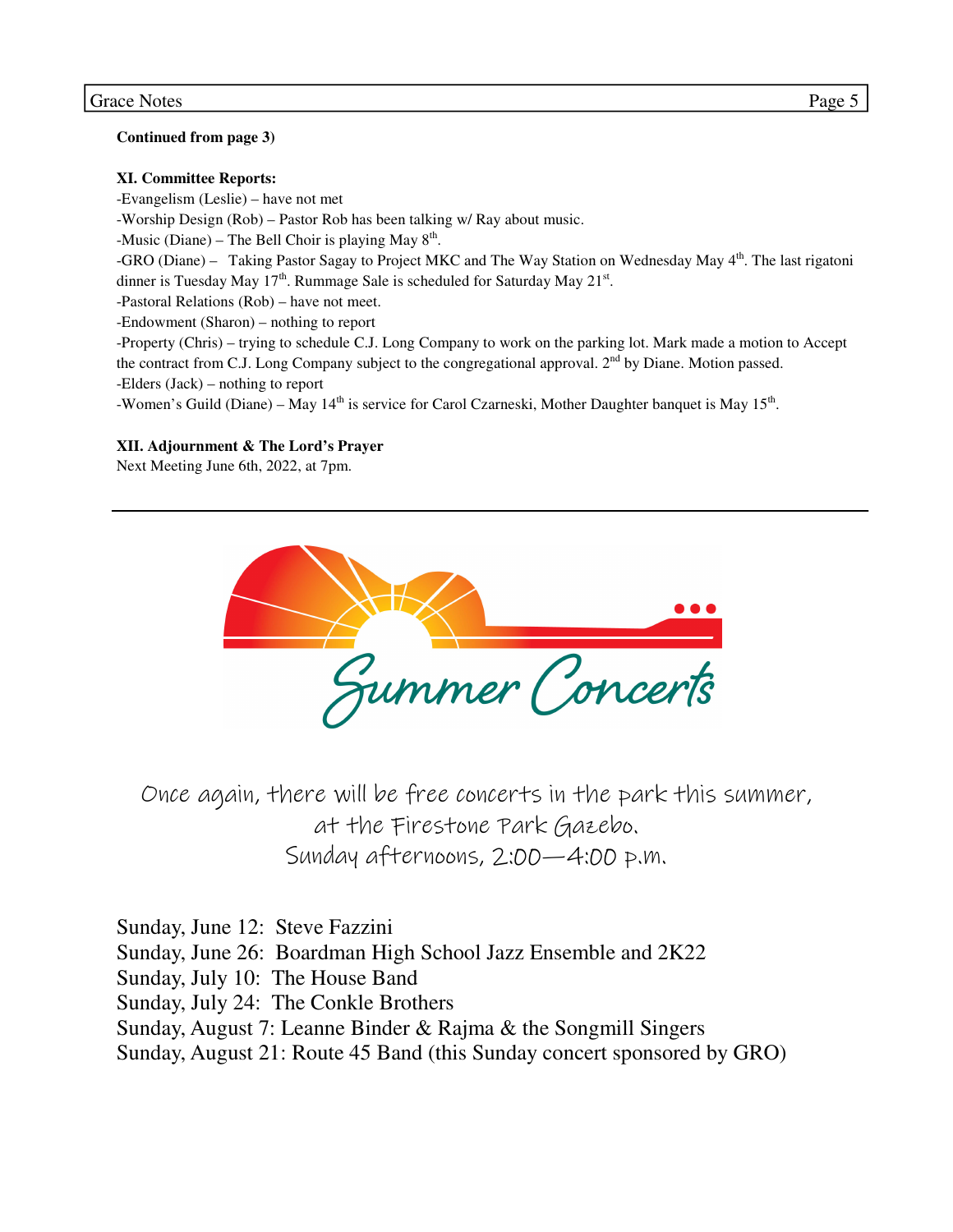#### **Continued from page 3)**

#### **XI. Committee Reports:**

-Evangelism (Leslie) – have not met -Worship Design (Rob) – Pastor Rob has been talking w/ Ray about music. -Music (Diane) – The Bell Choir is playing May  $8<sup>th</sup>$ . -GRO (Diane) – Taking Pastor Sagay to Project MKC and The Way Station on Wednesday May 4th. The last rigatoni dinner is Tuesday May  $17<sup>th</sup>$ . Rummage Sale is scheduled for Saturday May  $21<sup>st</sup>$ . -Pastoral Relations (Rob) – have not meet. -Endowment (Sharon) – nothing to report -Property (Chris) – trying to schedule C.J. Long Company to work on the parking lot. Mark made a motion to Accept the contract from C.J. Long Company subject to the congregational approval. 2<sup>nd</sup> by Diane. Motion passed. -Elders (Jack) – nothing to report -Women's Guild (Diane) – May  $14<sup>th</sup>$  is service for Carol Czarneski, Mother Daughter banquet is May  $15<sup>th</sup>$ .

#### **XII. Adjournment & The Lord's Prayer**

Next Meeting June 6th, 2022, at 7pm.



Once again, there will be free concerts in the park this summer, at the Firestone Park Gazebo. Sunday afternoons, 2:00—4:00 p.m.

Sunday, June 12: Steve Fazzini Sunday, June 26: Boardman High School Jazz Ensemble and 2K22 Sunday, July 10: The House Band Sunday, July 24: The Conkle Brothers Sunday, August 7: Leanne Binder & Rajma & the Songmill Singers Sunday, August 21: Route 45 Band (this Sunday concert sponsored by GRO)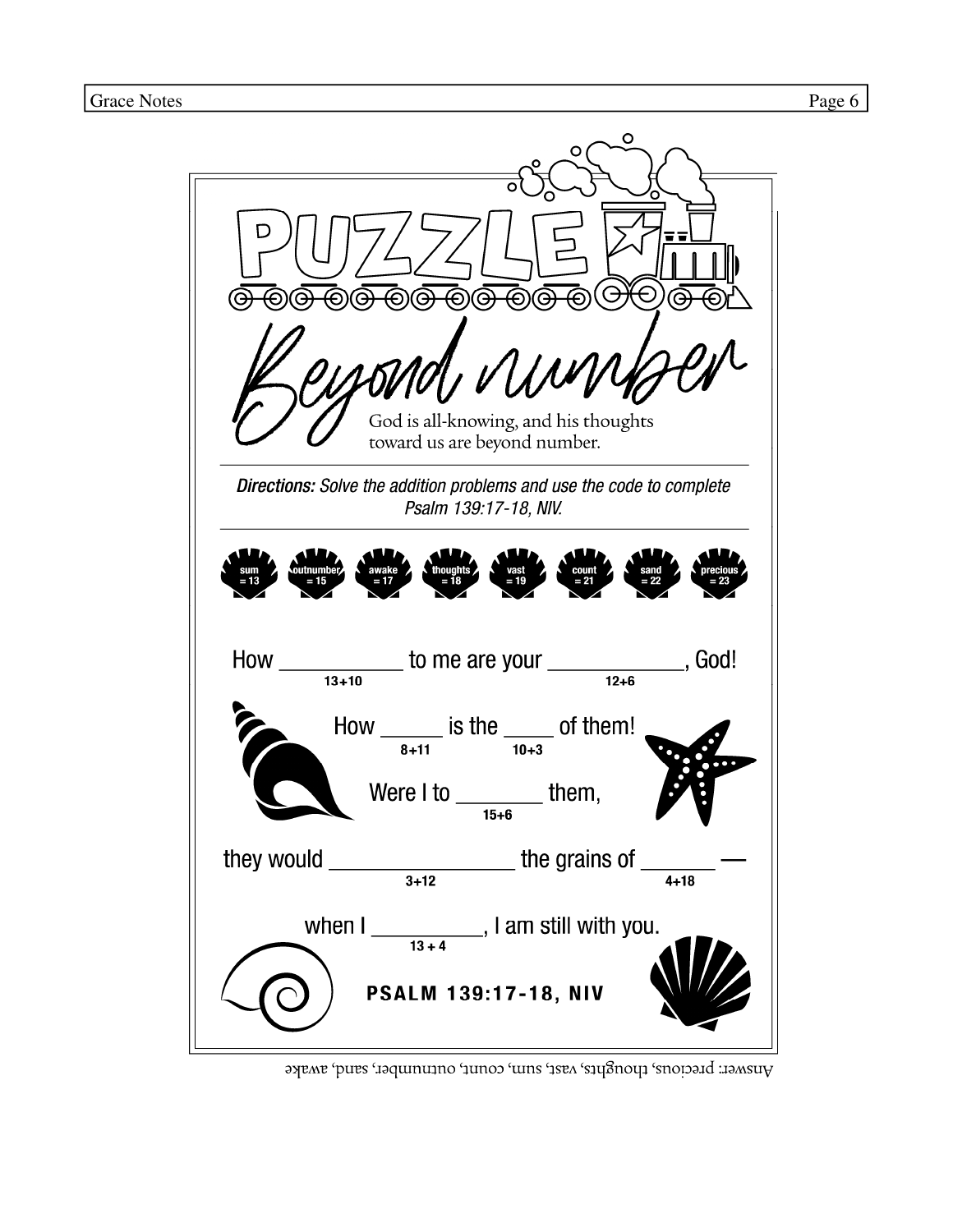

Answer: precious, thoughts, vast, sum, count, outnumber, sand, awake